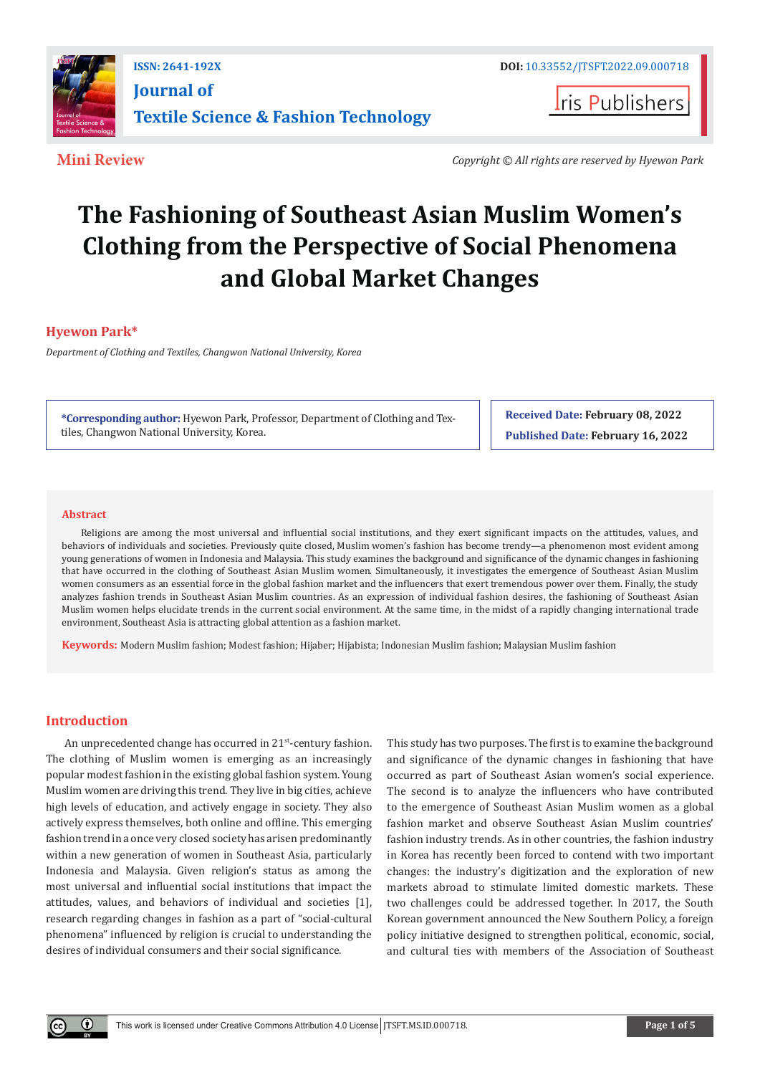

**ISSN: 2641-192X DOI:** [10.33552/JTSFT.2022.09.000718](https://dx.doi.org/10.33552/JTSFT.2022.09.000718) **[Journal of](https://irispublishers.com/jtsft/)  [Textile Science & Fashion Technology](https://irispublishers.com/jtsft/)**

**I**ris Publishers

**Mini Review** *Copyright © All rights are reserved by Hyewon Park*

# **The Fashioning of Southeast Asian Muslim Women's Clothing from the Perspective of Social Phenomena and Global Market Changes**

# **Hyewon Park\***

*Department of Clothing and Textiles, Changwon National University, Korea*

**\*Corresponding author:** Hyewon Park, Professor, Department of Clothing and Textiles, Changwon National University, Korea.

**Received Date: February 08, 2022 Published Date: February 16, 2022**

#### **Abstract**

Religions are among the most universal and influential social institutions, and they exert significant impacts on the attitudes, values, and behaviors of individuals and societies. Previously quite closed, Muslim women's fashion has become trendy—a phenomenon most evident among young generations of women in Indonesia and Malaysia. This study examines the background and significance of the dynamic changes in fashioning that have occurred in the clothing of Southeast Asian Muslim women. Simultaneously, it investigates the emergence of Southeast Asian Muslim women consumers as an essential force in the global fashion market and the influencers that exert tremendous power over them. Finally, the study analyzes fashion trends in Southeast Asian Muslim countries. As an expression of individual fashion desires, the fashioning of Southeast Asian Muslim women helps elucidate trends in the current social environment. At the same time, in the midst of a rapidly changing international trade environment, Southeast Asia is attracting global attention as a fashion market.

**Keywords:** Modern Muslim fashion; Modest fashion; Hijaber; Hijabista; Indonesian Muslim fashion; Malaysian Muslim fashion

## **Introduction**

An unprecedented change has occurred in 21<sup>st</sup>-century fashion. The clothing of Muslim women is emerging as an increasingly popular modest fashion in the existing global fashion system. Young Muslim women are driving this trend. They live in big cities, achieve high levels of education, and actively engage in society. They also actively express themselves, both online and offline. This emerging fashion trend in a once very closed society has arisen predominantly within a new generation of women in Southeast Asia, particularly Indonesia and Malaysia. Given religion's status as among the most universal and influential social institutions that impact the attitudes, values, and behaviors of individual and societies [1], research regarding changes in fashion as a part of "social-cultural phenomena" influenced by religion is crucial to understanding the desires of individual consumers and their social significance.

This study has two purposes. The first is to examine the background and significance of the dynamic changes in fashioning that have occurred as part of Southeast Asian women's social experience. The second is to analyze the influencers who have contributed to the emergence of Southeast Asian Muslim women as a global fashion market and observe Southeast Asian Muslim countries' fashion industry trends. As in other countries, the fashion industry in Korea has recently been forced to contend with two important changes: the industry's digitization and the exploration of new markets abroad to stimulate limited domestic markets. These two challenges could be addressed together. In 2017, the South Korean government announced the New Southern Policy, a foreign policy initiative designed to strengthen political, economic, social, and cultural ties with members of the Association of Southeast

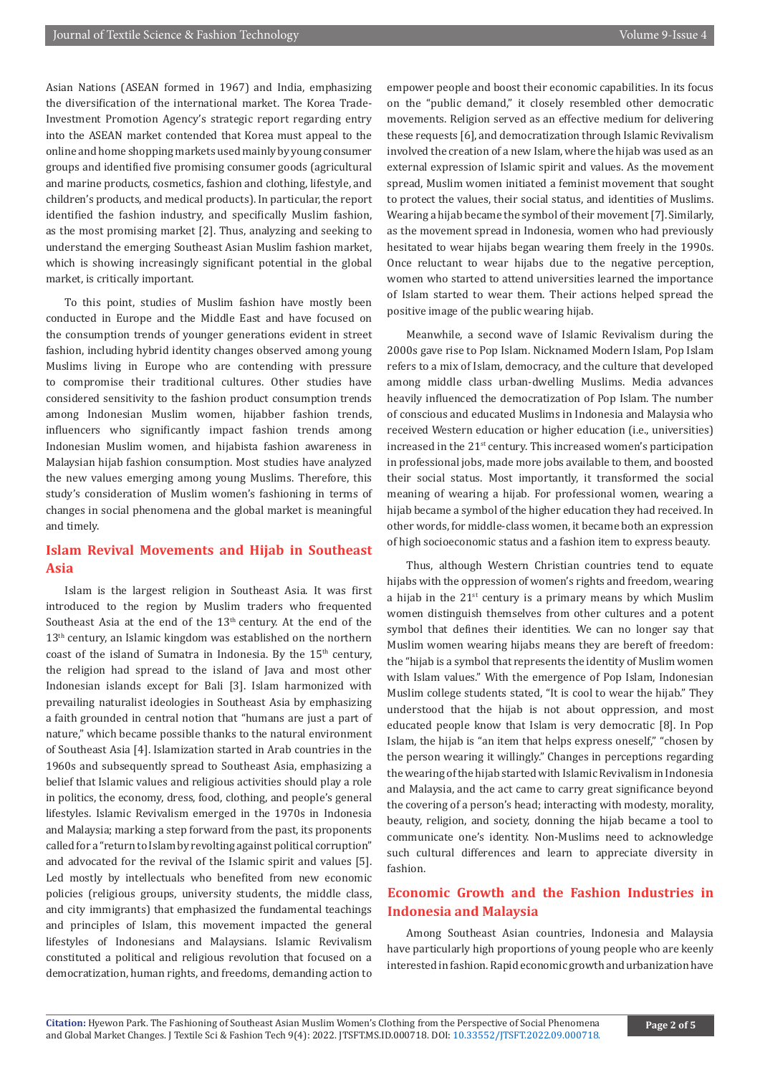Asian Nations (ASEAN formed in 1967) and India, emphasizing the diversification of the international market. The Korea Trade-Investment Promotion Agency's strategic report regarding entry into the ASEAN market contended that Korea must appeal to the online and home shopping markets used mainly by young consumer groups and identified five promising consumer goods (agricultural and marine products, cosmetics, fashion and clothing, lifestyle, and children's products, and medical products). In particular, the report identified the fashion industry, and specifically Muslim fashion, as the most promising market [2]. Thus, analyzing and seeking to understand the emerging Southeast Asian Muslim fashion market, which is showing increasingly significant potential in the global market, is critically important.

To this point, studies of Muslim fashion have mostly been conducted in Europe and the Middle East and have focused on the consumption trends of younger generations evident in street fashion, including hybrid identity changes observed among young Muslims living in Europe who are contending with pressure to compromise their traditional cultures. Other studies have considered sensitivity to the fashion product consumption trends among Indonesian Muslim women, hijabber fashion trends, influencers who significantly impact fashion trends among Indonesian Muslim women, and hijabista fashion awareness in Malaysian hijab fashion consumption. Most studies have analyzed the new values emerging among young Muslims. Therefore, this study's consideration of Muslim women's fashioning in terms of changes in social phenomena and the global market is meaningful and timely.

# **Islam Revival Movements and Hijab in Southeast Asia**

Islam is the largest religion in Southeast Asia. It was first introduced to the region by Muslim traders who frequented Southeast Asia at the end of the 13<sup>th</sup> century. At the end of the 13<sup>th</sup> century, an Islamic kingdom was established on the northern coast of the island of Sumatra in Indonesia. By the  $15<sup>th</sup>$  century, the religion had spread to the island of Java and most other Indonesian islands except for Bali [3]. Islam harmonized with prevailing naturalist ideologies in Southeast Asia by emphasizing a faith grounded in central notion that "humans are just a part of nature," which became possible thanks to the natural environment of Southeast Asia [4]. Islamization started in Arab countries in the 1960s and subsequently spread to Southeast Asia, emphasizing a belief that Islamic values and religious activities should play a role in politics, the economy, dress, food, clothing, and people's general lifestyles. Islamic Revivalism emerged in the 1970s in Indonesia and Malaysia; marking a step forward from the past, its proponents called for a "return to Islam by revolting against political corruption" and advocated for the revival of the Islamic spirit and values [5]. Led mostly by intellectuals who benefited from new economic policies (religious groups, university students, the middle class, and city immigrants) that emphasized the fundamental teachings and principles of Islam, this movement impacted the general lifestyles of Indonesians and Malaysians. Islamic Revivalism constituted a political and religious revolution that focused on a democratization, human rights, and freedoms, demanding action to

empower people and boost their economic capabilities. In its focus on the "public demand," it closely resembled other democratic movements. Religion served as an effective medium for delivering these requests [6], and democratization through Islamic Revivalism involved the creation of a new Islam, where the hijab was used as an external expression of Islamic spirit and values. As the movement spread, Muslim women initiated a feminist movement that sought to protect the values, their social status, and identities of Muslims. Wearing a hijab became the symbol of their movement [7].Similarly, as the movement spread in Indonesia, women who had previously hesitated to wear hijabs began wearing them freely in the 1990s. Once reluctant to wear hijabs due to the negative perception, women who started to attend universities learned the importance of Islam started to wear them. Their actions helped spread the positive image of the public wearing hijab.

Meanwhile, a second wave of Islamic Revivalism during the 2000s gave rise to Pop Islam. Nicknamed Modern Islam, Pop Islam refers to a mix of Islam, democracy, and the culture that developed among middle class urban-dwelling Muslims. Media advances heavily influenced the democratization of Pop Islam. The number of conscious and educated Muslims in Indonesia and Malaysia who received Western education or higher education (i.e., universities) increased in the 21st century. This increased women's participation in professional jobs, made more jobs available to them, and boosted their social status. Most importantly, it transformed the social meaning of wearing a hijab. For professional women, wearing a hijab became a symbol of the higher education they had received. In other words, for middle-class women, it became both an expression of high socioeconomic status and a fashion item to express beauty.

Thus, although Western Christian countries tend to equate hijabs with the oppression of women's rights and freedom, wearing a hijab in the  $21^{st}$  century is a primary means by which Muslim women distinguish themselves from other cultures and a potent symbol that defines their identities. We can no longer say that Muslim women wearing hijabs means they are bereft of freedom: the "hijab is a symbol that represents the identity of Muslim women with Islam values." With the emergence of Pop Islam, Indonesian Muslim college students stated, "It is cool to wear the hijab." They understood that the hijab is not about oppression, and most educated people know that Islam is very democratic [8]. In Pop Islam, the hijab is "an item that helps express oneself," "chosen by the person wearing it willingly." Changes in perceptions regarding the wearing of the hijab started with Islamic Revivalism in Indonesia and Malaysia, and the act came to carry great significance beyond the covering of a person's head; interacting with modesty, morality, beauty, religion, and society, donning the hijab became a tool to communicate one's identity. Non-Muslims need to acknowledge such cultural differences and learn to appreciate diversity in fashion.

# **Economic Growth and the Fashion Industries in Indonesia and Malaysia**

Among Southeast Asian countries, Indonesia and Malaysia have particularly high proportions of young people who are keenly interested in fashion. Rapid economic growth and urbanization have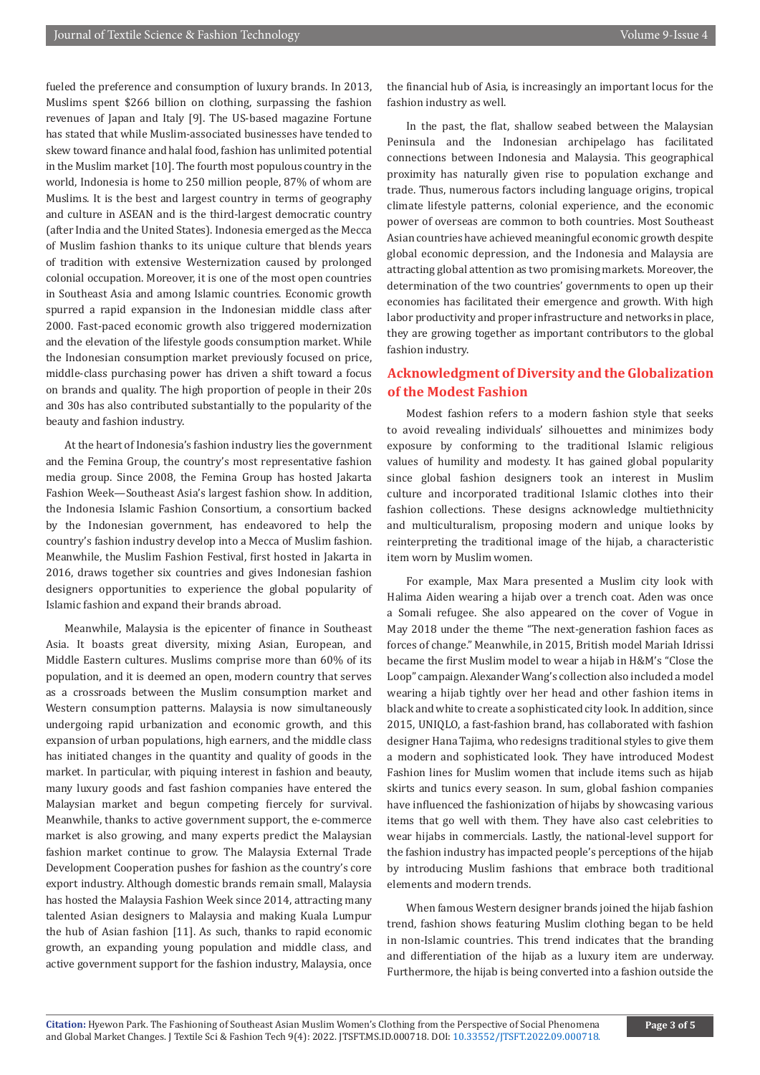fueled the preference and consumption of luxury brands. In 2013, Muslims spent \$266 billion on clothing, surpassing the fashion revenues of Japan and Italy [9]. The US-based magazine Fortune has stated that while Muslim-associated businesses have tended to skew toward finance and halal food, fashion has unlimited potential in the Muslim market [10]. The fourth most populous country in the world, Indonesia is home to 250 million people, 87% of whom are Muslims. It is the best and largest country in terms of geography and culture in ASEAN and is the third-largest democratic country (after India and the United States). Indonesia emerged as the Mecca of Muslim fashion thanks to its unique culture that blends years of tradition with extensive Westernization caused by prolonged colonial occupation. Moreover, it is one of the most open countries in Southeast Asia and among Islamic countries. Economic growth spurred a rapid expansion in the Indonesian middle class after 2000. Fast-paced economic growth also triggered modernization and the elevation of the lifestyle goods consumption market. While the Indonesian consumption market previously focused on price, middle-class purchasing power has driven a shift toward a focus on brands and quality. The high proportion of people in their 20s and 30s has also contributed substantially to the popularity of the beauty and fashion industry.

At the heart of Indonesia's fashion industry lies the government and the Femina Group, the country's most representative fashion media group. Since 2008, the Femina Group has hosted Jakarta Fashion Week—Southeast Asia's largest fashion show. In addition, the Indonesia Islamic Fashion Consortium, a consortium backed by the Indonesian government, has endeavored to help the country's fashion industry develop into a Mecca of Muslim fashion. Meanwhile, the Muslim Fashion Festival, first hosted in Jakarta in 2016, draws together six countries and gives Indonesian fashion designers opportunities to experience the global popularity of Islamic fashion and expand their brands abroad.

Meanwhile, Malaysia is the epicenter of finance in Southeast Asia. It boasts great diversity, mixing Asian, European, and Middle Eastern cultures. Muslims comprise more than 60% of its population, and it is deemed an open, modern country that serves as a crossroads between the Muslim consumption market and Western consumption patterns. Malaysia is now simultaneously undergoing rapid urbanization and economic growth, and this expansion of urban populations, high earners, and the middle class has initiated changes in the quantity and quality of goods in the market. In particular, with piquing interest in fashion and beauty, many luxury goods and fast fashion companies have entered the Malaysian market and begun competing fiercely for survival. Meanwhile, thanks to active government support, the e-commerce market is also growing, and many experts predict the Malaysian fashion market continue to grow. The Malaysia External Trade Development Cooperation pushes for fashion as the country's core export industry. Although domestic brands remain small, Malaysia has hosted the Malaysia Fashion Week since 2014, attracting many talented Asian designers to Malaysia and making Kuala Lumpur the hub of Asian fashion [11]. As such, thanks to rapid economic growth, an expanding young population and middle class, and active government support for the fashion industry, Malaysia, once

the financial hub of Asia, is increasingly an important locus for the fashion industry as well.

In the past, the flat, shallow seabed between the Malaysian Peninsula and the Indonesian archipelago has facilitated connections between Indonesia and Malaysia. This geographical proximity has naturally given rise to population exchange and trade. Thus, numerous factors including language origins, tropical climate lifestyle patterns, colonial experience, and the economic power of overseas are common to both countries. Most Southeast Asian countries have achieved meaningful economic growth despite global economic depression, and the Indonesia and Malaysia are attracting global attention as two promising markets. Moreover, the determination of the two countries' governments to open up their economies has facilitated their emergence and growth. With high labor productivity and proper infrastructure and networks in place, they are growing together as important contributors to the global fashion industry.

# **Acknowledgment of Diversity and the Globalization of the Modest Fashion**

Modest fashion refers to a modern fashion style that seeks to avoid revealing individuals' silhouettes and minimizes body exposure by conforming to the traditional Islamic religious values of humility and modesty. It has gained global popularity since global fashion designers took an interest in Muslim culture and incorporated traditional Islamic clothes into their fashion collections. These designs acknowledge multiethnicity and multiculturalism, proposing modern and unique looks by reinterpreting the traditional image of the hijab, a characteristic item worn by Muslim women.

For example, Max Mara presented a Muslim city look with Halima Aiden wearing a hijab over a trench coat. Aden was once a Somali refugee. She also appeared on the cover of Vogue in May 2018 under the theme "The next-generation fashion faces as forces of change." Meanwhile, in 2015, British model Mariah Idrissi became the first Muslim model to wear a hijab in H&M's "Close the Loop" campaign. Alexander Wang's collection also included a model wearing a hijab tightly over her head and other fashion items in black and white to create a sophisticated city look. In addition, since 2015, UNIQLO, a fast-fashion brand, has collaborated with fashion designer Hana Tajima, who redesigns traditional styles to give them a modern and sophisticated look. They have introduced Modest Fashion lines for Muslim women that include items such as hijab skirts and tunics every season. In sum, global fashion companies have influenced the fashionization of hijabs by showcasing various items that go well with them. They have also cast celebrities to wear hijabs in commercials. Lastly, the national-level support for the fashion industry has impacted people's perceptions of the hijab by introducing Muslim fashions that embrace both traditional elements and modern trends.

When famous Western designer brands joined the hijab fashion trend, fashion shows featuring Muslim clothing began to be held in non-Islamic countries. This trend indicates that the branding and differentiation of the hijab as a luxury item are underway. Furthermore, the hijab is being converted into a fashion outside the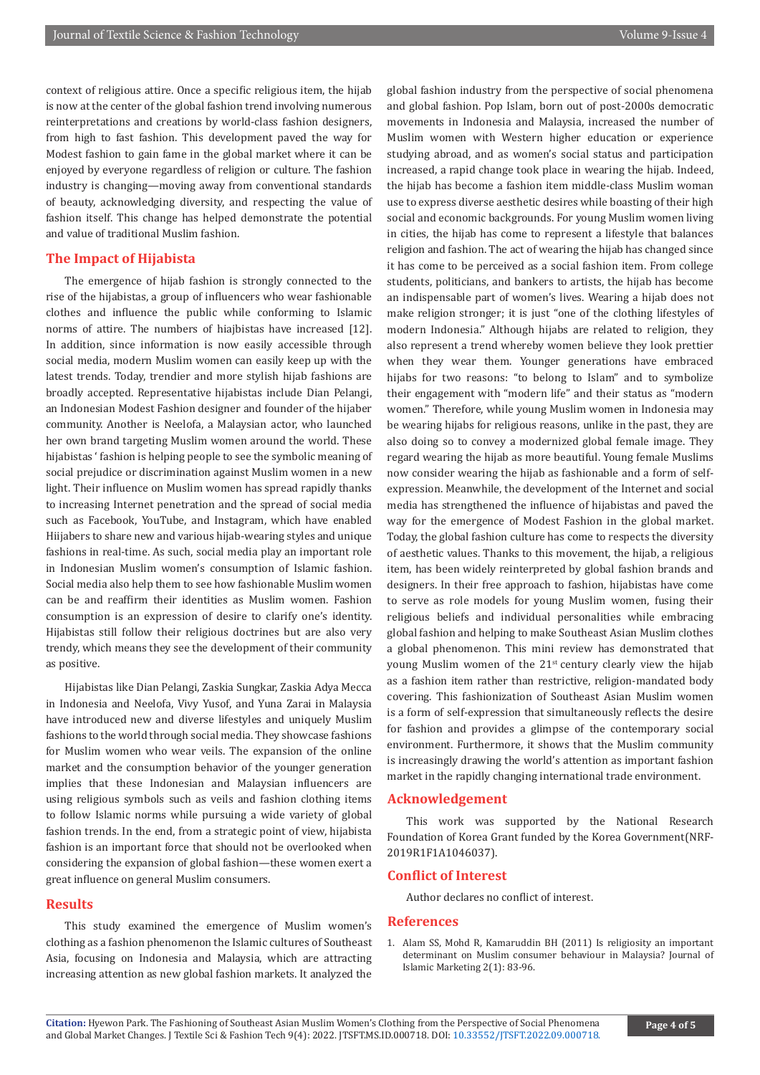context of religious attire. Once a specific religious item, the hijab is now at the center of the global fashion trend involving numerous reinterpretations and creations by world-class fashion designers, from high to fast fashion. This development paved the way for Modest fashion to gain fame in the global market where it can be enjoyed by everyone regardless of religion or culture. The fashion industry is changing—moving away from conventional standards of beauty, acknowledging diversity, and respecting the value of fashion itself. This change has helped demonstrate the potential and value of traditional Muslim fashion.

### **The Impact of Hijabista**

The emergence of hijab fashion is strongly connected to the rise of the hijabistas, a group of influencers who wear fashionable clothes and influence the public while conforming to Islamic norms of attire. The numbers of hiajbistas have increased [12]. In addition, since information is now easily accessible through social media, modern Muslim women can easily keep up with the latest trends. Today, trendier and more stylish hijab fashions are broadly accepted. Representative hijabistas include Dian Pelangi, an Indonesian Modest Fashion designer and founder of the hijaber community. Another is Neelofa, a Malaysian actor, who launched her own brand targeting Muslim women around the world. These hijabistas ' fashion is helping people to see the symbolic meaning of social prejudice or discrimination against Muslim women in a new light. Their influence on Muslim women has spread rapidly thanks to increasing Internet penetration and the spread of social media such as Facebook, YouTube, and Instagram, which have enabled Hiijabers to share new and various hijab-wearing styles and unique fashions in real-time. As such, social media play an important role in Indonesian Muslim women's consumption of Islamic fashion. Social media also help them to see how fashionable Muslim women can be and reaffirm their identities as Muslim women. Fashion consumption is an expression of desire to clarify one's identity. Hijabistas still follow their religious doctrines but are also very trendy, which means they see the development of their community as positive.

Hijabistas like Dian Pelangi, Zaskia Sungkar, Zaskia Adya Mecca in Indonesia and Neelofa, Vivy Yusof, and Yuna Zarai in Malaysia have introduced new and diverse lifestyles and uniquely Muslim fashions to the world through social media. They showcase fashions for Muslim women who wear veils. The expansion of the online market and the consumption behavior of the younger generation implies that these Indonesian and Malaysian influencers are using religious symbols such as veils and fashion clothing items to follow Islamic norms while pursuing a wide variety of global fashion trends. In the end, from a strategic point of view, hijabista fashion is an important force that should not be overlooked when considering the expansion of global fashion—these women exert a great influence on general Muslim consumers.

#### **Results**

This study examined the emergence of Muslim women's clothing as a fashion phenomenon the Islamic cultures of Southeast Asia, focusing on Indonesia and Malaysia, which are attracting increasing attention as new global fashion markets. It analyzed the global fashion industry from the perspective of social phenomena and global fashion. Pop Islam, born out of post-2000s democratic movements in Indonesia and Malaysia, increased the number of Muslim women with Western higher education or experience studying abroad, and as women's social status and participation increased, a rapid change took place in wearing the hijab. Indeed, the hijab has become a fashion item middle-class Muslim woman use to express diverse aesthetic desires while boasting of their high social and economic backgrounds. For young Muslim women living in cities, the hijab has come to represent a lifestyle that balances religion and fashion. The act of wearing the hijab has changed since it has come to be perceived as a social fashion item. From college students, politicians, and bankers to artists, the hijab has become an indispensable part of women's lives. Wearing a hijab does not make religion stronger; it is just "one of the clothing lifestyles of modern Indonesia." Although hijabs are related to religion, they also represent a trend whereby women believe they look prettier when they wear them. Younger generations have embraced hijabs for two reasons: "to belong to Islam" and to symbolize their engagement with "modern life" and their status as "modern women." Therefore, while young Muslim women in Indonesia may be wearing hijabs for religious reasons, unlike in the past, they are also doing so to convey a modernized global female image. They regard wearing the hijab as more beautiful. Young female Muslims now consider wearing the hijab as fashionable and a form of selfexpression. Meanwhile, the development of the Internet and social media has strengthened the influence of hijabistas and paved the way for the emergence of Modest Fashion in the global market. Today, the global fashion culture has come to respects the diversity of aesthetic values. Thanks to this movement, the hijab, a religious item, has been widely reinterpreted by global fashion brands and designers. In their free approach to fashion, hijabistas have come to serve as role models for young Muslim women, fusing their religious beliefs and individual personalities while embracing global fashion and helping to make Southeast Asian Muslim clothes a global phenomenon. This mini review has demonstrated that young Muslim women of the 21<sup>st</sup> century clearly view the hijab as a fashion item rather than restrictive, religion-mandated body covering. This fashionization of Southeast Asian Muslim women is a form of self-expression that simultaneously reflects the desire for fashion and provides a glimpse of the contemporary social environment. Furthermore, it shows that the Muslim community is increasingly drawing the world's attention as important fashion market in the rapidly changing international trade environment.

#### **Acknowledgement**

This work was supported by the National Research Foundation of Korea Grant funded by the Korea Government(NRF-2019R1F1A1046037).

#### **Conflict of Interest**

Author declares no conflict of interest.

#### **References**

1. [Alam SS, Mohd R, Kamaruddin BH \(2011\) Is religiosity an important](https://www.emerald.com/insight/content/doi/10.1108/17590831111115268/full/html) [determinant on Muslim consumer behaviour in Malaysia? Journal of](https://www.emerald.com/insight/content/doi/10.1108/17590831111115268/full/html) [Islamic Marketing 2\(1\): 83-96.](https://www.emerald.com/insight/content/doi/10.1108/17590831111115268/full/html)